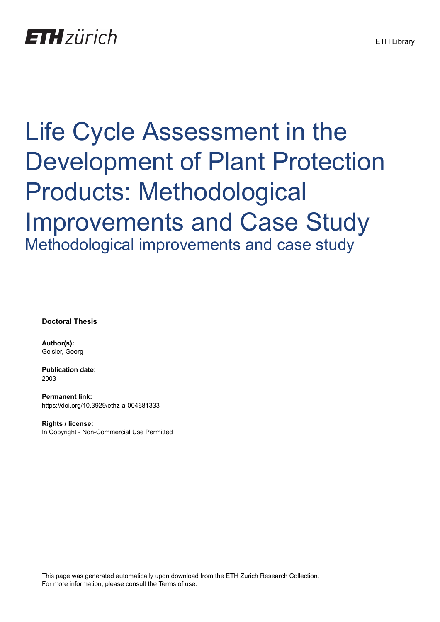## **ETH** zürich

# Life Cycle Assessment in the Development of Plant Protection Products: Methodological Improvements and Case Study Methodological improvements and case study

**Doctoral Thesis**

**Author(s):** Geisler, Georg

**Publication date:** 2003

**Permanent link:** <https://doi.org/10.3929/ethz-a-004681333>

**Rights / license:** [In Copyright - Non-Commercial Use Permitted](http://rightsstatements.org/page/InC-NC/1.0/)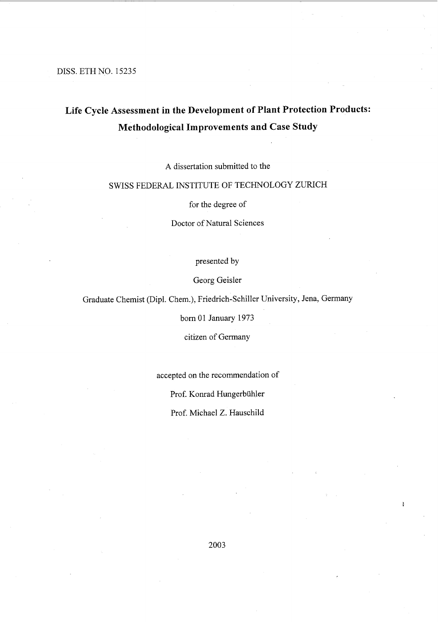#### DISS. ETH NO. 15235

## **Life** Cycle **Assessment in the Development of Plant Protection Products: Methodological Improvements and Case Study**

A dissertation submitted to the

## SWISS FEDERAL INSTITUTE OF TECHNOLOGY ZURICH

for the degree of

Doctor of Natural Sciences

presented by

Georg Geisler

Graduate Chemist (Dipl. Chern.), Friedrich-Schiller University, Jena, Germany

born 01 January 1973

citizen of Germany

accepted on the recommendation of

Prof. Konrad Hungerbühler

Prof. Michael Z. Hauschild

2003

 $\ddot{3}$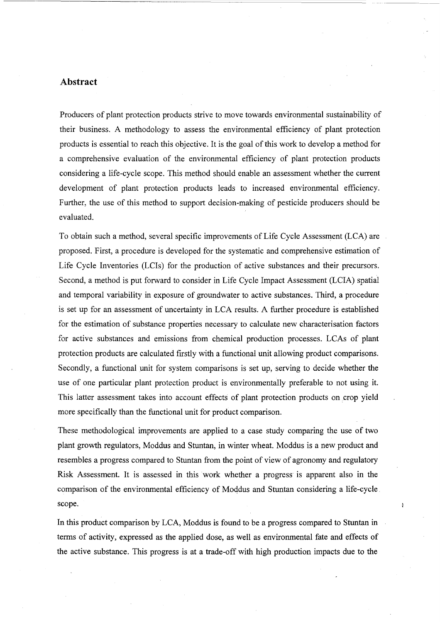## **Abstract**

Producers of plant protection products strive to move towards environmental sustainability of their business. A methodology to assess the environmental efficiency of plant protection products is essential to reach this objective. It is the goal of this work to develop a method for a comprehensive evaluation of the environmental efficiency of plant protection products considering a life-cycle scope. This method should enable an assessment whether the current development of plant protection products leads to increased environmental efficiency. Further, the use of this method to support decision-making of pesticide producers should be evaluated.

---~---

 $\frac{3}{4}$ 

To obtain such a method, several specific improvements of Life Cycle Assessment (LCA) are proposed. First, a procedure is developed for the systematic and comprehensive estimation of Life Cycle Inventories (LCIs) for the production of active substances and their precursors. Second, a method is put forward to consider in Life Cycle Impact Assessment (LCIA) spatial and temporal variability in exposure of groundwater to active substances. Third, a procedure is set up for an assessment of uncertainty in LCA results. A further procedure is established for the estimation of substance properties necessary to calculate new characterisation factors for active substances and emissions from chemical production processes. LCAs of plant protection products are calculated firstly with a functional unit allowing product comparisons. Secondly, a functional unit for system comparisons is set up, serving to decide whether the use of one particular plant protection product is environmentally preferable to not using it. This latter assessment takes into account effects of plant protection products on crop yield more specifically than the functional unit for product comparison.

These methodological improvements are applied to a case study comparing the use of two plant growth regulators, Moddus and Stuntan, in winter wheat. Moddus is a new product and resembles a progress compared to Stuntan from the point of view of agronomy and regulatory Risk Assessment. It is assessed in thiswork whether a progress is apparent also in the comparison of the environmental efficiency of Moddus and Stuntan considering a life-cycle scope.

In this product comparison by LCA, Moddus is found to be a progress compared to Stuntan in terms of activity, expressed as the applied dose, as weIl as environmental fate and effects of the active substance. This progress is at a trade-off with high production impacts due to the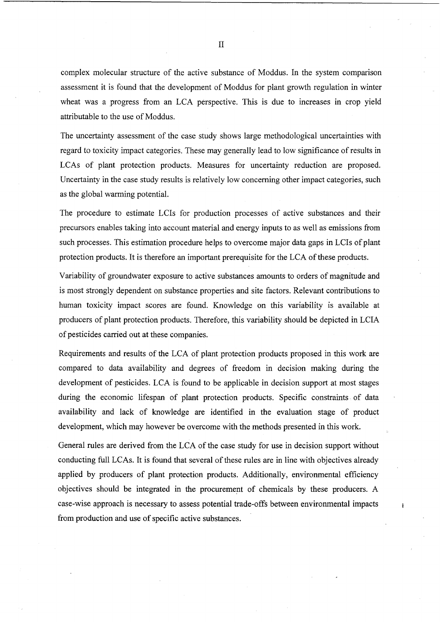complex molecular structure of the active substance of Moddus. In the system comparison assessment it is found that the development of Moddus for plant growth regulation in winter wheat was a progress from an LCA perspective. This is due to increases in crop yield attributable to the use of Moddus.

The uncertainty assessment of the case study shows large methodological uncertainties with regard to toxicity impact categories. These may generally lead to low significance of results in LCAs of plant protection products. Measures for uncertainty reduction are proposed. Uncertainty in the case study results is relatively low conceming other impact categories, such as the global warming potential.

The procedure to estimate LCIs for production processes of active substances and their precursors enables taking into account material and energy inputs to as well as emissions from such processes. This estimation procedure helps to overcome major data gaps in LCIs of plant protection products. It is therefore an important prerequisite for the LCA of these products.

Variability of groundwater exposure to active substances amounts to orders of magnitude and is most strongly dependent on substance properties and site factors. Relevant contributions to human toxicity impact scores are found. Knowledge on this variability is available at producers of plant protection products. Therefore, this variability should be depicted in LCIA of pesticides carried out at these companies.

Requirements and results of the LCA of plant protection products proposed in this work are compared to data availability and degrees of freedom in decision making during the development of pesticides. LCA is found to be applicable in decision support at most stages during the economic lifespan of plant protection products. Specific constraints of data availability and lack of knowledge are identified in the evaluation stage of product development, which may however be overcome with the methods presented in this work.

General rules are derived from the LCA of the case study for use in decision support without conducting full LCAs. It is found that several of these rules are in line with objectives already applied by producers of plant protection products. Additionally, environmental efficiency objectives should be integrated in the procurement of chemieals by these producers. A case-wise approach is necessary to assess potential trade-offs between environmental impacts from production and use of specific active substances.

Å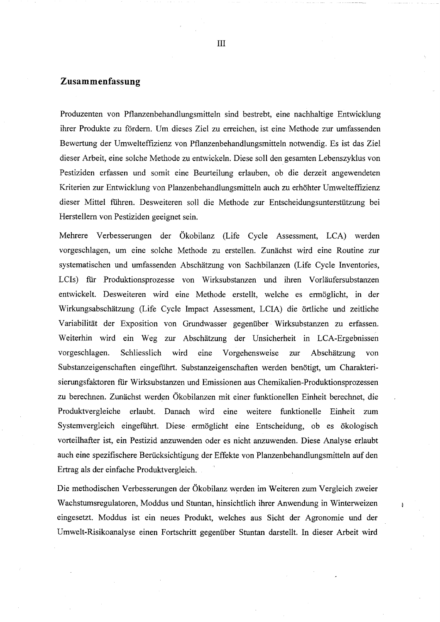## **Zusammenfassung**

Produzenten von Pflanzenbehandlungsmitteln sind bestrebt, eine nachhaltige Entwicklung ihrer Produkte zu fordern. Um dieses Ziel zu erreichen, ist eine Methode zur umfassenden Bewertung der Umwelteffizienz von Pflanzenbehandlungsrnitteln notwendig. Es ist das Ziel dieser Arbeit, eine solche Methode zu entwickeln. Diese soll den gesamten Lebenszyklus von Pestiziden erfassen und somit eine Beurteilung erlauben, ob die derzeit angewendeten Kriterien zur Entwicklung von Planzenbehandlungsmitteln auch zu erhöhter Umwelteffizienz dieser Mittel führen. Desweiteren soll die Methode zur Entscheidungsunterstützung bei Herstellern von Pestiziden geeignet sein.

Mehrere Verbesserungen der Ökobilanz (Life Cycle Assessment, LCA) werden vorgeschlagen, um eine solche Methode zu erstellen. Zunächst wird eine Routine zur systematischen und umfassenden Abschätzung von Sachbilanzen (Life Cycle Inventories, LCIs) fiir Produktionsprozesse von Wirksubstanzen und ihren Vorläufersubstanzen entwickelt. Desweiteren wird eine Methode erstellt, welche es ermöglicht, in der Wirkungsabschätzung (Life Cycle Impact Assessment, LCIA) die örtliche und zeitliche Variabilität der Exposition von Grundwasser gegenüber Wirksubstanzen zu erfassen. Weiterhin wird ein Weg zur Abschätzung der Unsicherheit in LCA-Ergebnissen vorgeschlagen. Schliesslich wird eme Vorgehensweise zur Abschätzung von Substanzeigenschaften eingeführt. Substanzeigenschaften werden benötigt, um Charakterisierungsfaktoren für Wirksubstanzen und Emissionen aus Chemikalien-Produktionsprozessen zu berechnen. Zunächst werden Ökobilanzen mit einer funktionellen Einheit berechnet, die Produktvergleiche erlaubt. Danach wird eine weitere funktionelle Einheit zum Systemvergleich eingeführt. Diese ermöglicht eine Entscheidung, ob es ökologisch vorteilhafter ist, ein Pestizid anzuwenden oder es nicht anzuwenden. Diese Analyse erlaubt auch eine spezifischere Berücksichtigung der Effekte von Planzenbehandlungsmitteln auf den Ertrag als der einfache Produktvergleich.

Die methodischen Verbesserungen der Ökobilanz werden im Weiteren zum Vergleich zweier Wachstumsregulatoren, Moddus und Stuntan, hinsichtlich ihrer Anwendung in Winterweizen eingesetzt. Moddus ist ein neues Produkt, welches aus Sicht der Agronomie und der Umwelt-Risikoanalyse einen Fortschritt gegenüber Stuntan darstellt. In dieser Arbeit wird

ł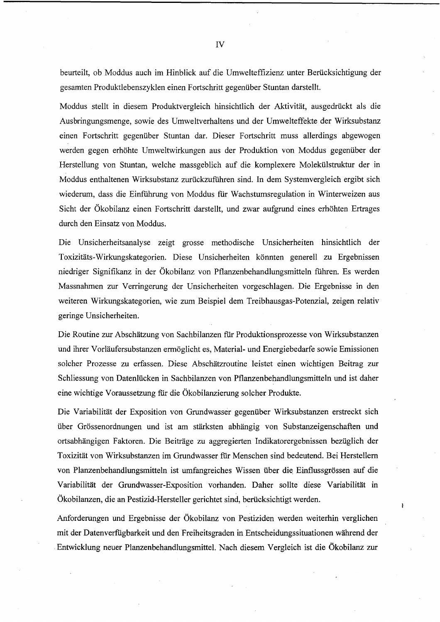beurteilt, ob Moddus auch im Hinblick auf die Umwelteffizienz unter Berücksichtigung der gesamten Produktlebenszyklen einen Fortschritt gegenüber Stuntan darstellt.

Moddus stellt in diesem Produktvergleich hinsichtlich der Aktivität, ausgedrückt als die Ausbringungsmenge, sowie des Umweltverhaltens und der Umwelteffekte der Wirksubstanz einen Fortschritt gegenüber Stuntan dar. Dieser Fortschritt muss allerdings abgewogen werden gegen erhöhte Umweltwirkungen aus der Produktion von Moddus gegenüber der Herstellung von Stuntan, welche massgeblich auf die komplexere Molekülstruktur der in Moddus enthaltenen Wirksubstanz zurückzuführen sind. In dem Systemvergleich ergibt sich wiederum, dass die Einführung von Moddus für Wachstumsregulation in Winterweizen aus Sicht der Ökobilanz einen Fortschritt darstellt, und zwar aufgrund eines erhöhten Ertrages durch den Einsatz von Moddus.

Die Unsicherheitsanalyse zeigt grosse methodische Unsicherheiten hinsichtlich der Toxizitäts-Wirkungskategorien. Diese Unsicherheiten könnten generell zu Ergebnissen niedriger Signifikanz in der Ökobilanz von Pflanzenbehandlungsmitteln führen. Es werden Massnahmen zur Verringerung der Unsicherheiten vorgeschlagen. Die Ergebnisse in den weiteren Wirkungskategorien, wie zum Beispiel dem Treibhausgas-Potenzial, zeigen relativ geringe Unsicherheiten.

Die Routine zur Abschätzung von Sachbilanzen für Produktionsprozesse von Wirksubstanzen und ihrer Vorläufersubstanzen ermöglicht es, Material- und Energiebedarfe sowie Emissionen solcher Prozesse zu erfassen. Diese Abschätzroutine leistet einen wichtigen Beitrag zur Schliessung von Datenlücken in Sachbilanzen von Pflanzenbehandlungsmitteln und ist daher eine wichtige Voraussetzung für die Ökobilanzierung solcher Produkte.

Die Variabilität der Exposition von Grundwasser gegenüber Wirksubstanzen erstreckt sich über Grössenordnungen und ist am stärksten abhängig von Substanzeigenschaften und ortsabhängigen Faktoren. Die Beiträge zu aggregierten Indikatorergebnissen bezüglich der Toxizität von Wirksubstanzen im Grundwasser für Menschen sind bedeutend. Bei Herstellern von Planzenbehandlungsmitteln ist umfangreiches Wissen über die, Einflussgrössen auf die Variabilität der Grundwasser-Exposition vorhanden. Daher sollte diese Variabilität in Ökobilanzen, die an Pestizid-Hersteller gerichtet sind, berücksichtigt werden.

Anforderungen und Ergebnisse der Ökobilanz von Pestiziden werden weiterhin verglichen mit der Datenverfügbarkeit und den Freiheitsgraden in Entscheidungssituationen während der Entwicklung neuer Planzenbehandlungsmittel. Nach diesem Vergleich ist die Ökobilanz zur  $\pmb{\cdot}$